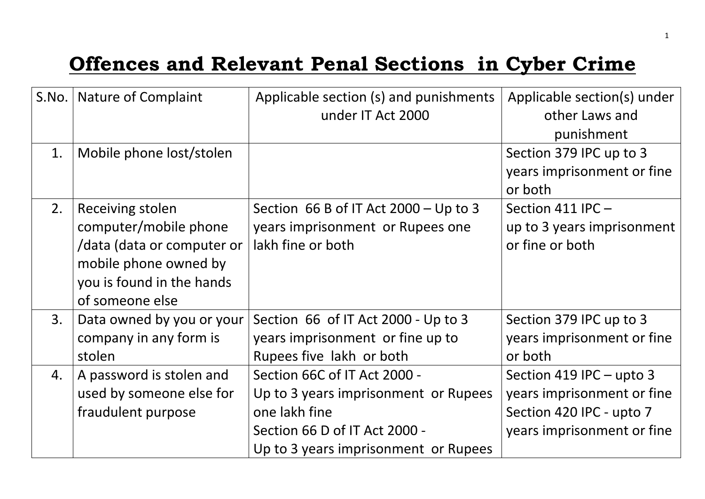## **Offences and Relevant Penal Sections in Cyber Crime**

| S.No. | Nature of Complaint                                                                                                                              | Applicable section (s) and punishments<br>under IT Act 2000                                                                                                    | Applicable section(s) under<br>other Laws and<br>punishment                                                      |
|-------|--------------------------------------------------------------------------------------------------------------------------------------------------|----------------------------------------------------------------------------------------------------------------------------------------------------------------|------------------------------------------------------------------------------------------------------------------|
| 1.    | Mobile phone lost/stolen                                                                                                                         |                                                                                                                                                                | Section 379 IPC up to 3<br>years imprisonment or fine<br>or both                                                 |
| 2.    | Receiving stolen<br>computer/mobile phone<br>/data (data or computer or<br>mobile phone owned by<br>you is found in the hands<br>of someone else | Section 66 B of IT Act $2000 - Up$ to 3<br>years imprisonment or Rupees one<br>lakh fine or both                                                               | Section 411 IPC-<br>up to 3 years imprisonment<br>or fine or both                                                |
| 3.    | Data owned by you or your<br>company in any form is<br>stolen                                                                                    | Section 66 of IT Act 2000 - Up to 3<br>years imprisonment or fine up to<br>Rupees five lakh or both                                                            | Section 379 IPC up to 3<br>years imprisonment or fine<br>or both                                                 |
| 4.    | A password is stolen and<br>used by someone else for<br>fraudulent purpose                                                                       | Section 66C of IT Act 2000 -<br>Up to 3 years imprisonment or Rupees<br>one lakh fine<br>Section 66 D of IT Act 2000 -<br>Up to 3 years imprisonment or Rupees | Section 419 IPC - upto 3<br>years imprisonment or fine<br>Section 420 IPC - upto 7<br>years imprisonment or fine |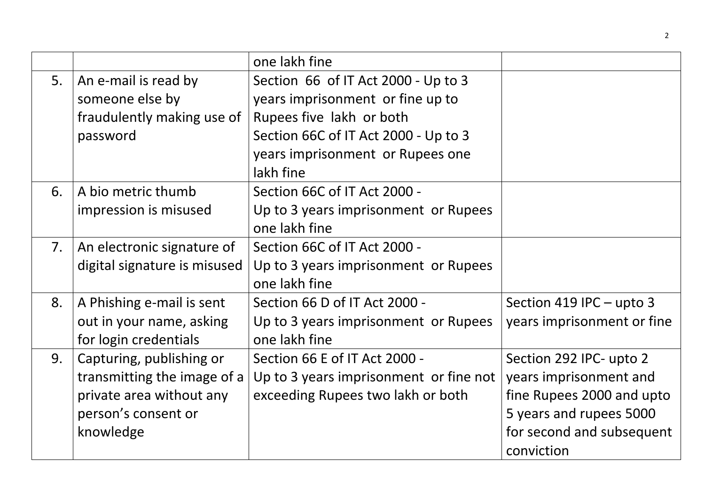|    |                              | one lakh fine                          |                            |
|----|------------------------------|----------------------------------------|----------------------------|
| 5. | An e-mail is read by         | Section 66 of IT Act 2000 - Up to 3    |                            |
|    | someone else by              | years imprisonment or fine up to       |                            |
|    | fraudulently making use of   | Rupees five lakh or both               |                            |
|    | password                     | Section 66C of IT Act 2000 - Up to 3   |                            |
|    |                              | years imprisonment or Rupees one       |                            |
|    |                              | lakh fine                              |                            |
| 6. | A bio metric thumb           | Section 66C of IT Act 2000 -           |                            |
|    | impression is misused        | Up to 3 years imprisonment or Rupees   |                            |
|    |                              | one lakh fine                          |                            |
| 7. | An electronic signature of   | Section 66C of IT Act 2000 -           |                            |
|    | digital signature is misused | Up to 3 years imprisonment or Rupees   |                            |
|    |                              | one lakh fine                          |                            |
| 8. | A Phishing e-mail is sent    | Section 66 D of IT Act 2000 -          | Section 419 IPC $-$ upto 3 |
|    | out in your name, asking     | Up to 3 years imprisonment or Rupees   | years imprisonment or fine |
|    | for login credentials        | one lakh fine                          |                            |
| 9. | Capturing, publishing or     | Section 66 E of IT Act 2000 -          | Section 292 IPC- upto 2    |
|    | transmitting the image of a  | Up to 3 years imprisonment or fine not | years imprisonment and     |
|    | private area without any     | exceeding Rupees two lakh or both      | fine Rupees 2000 and upto  |
|    | person's consent or          |                                        | 5 years and rupees 5000    |
|    | knowledge                    |                                        | for second and subsequent  |
|    |                              |                                        | conviction                 |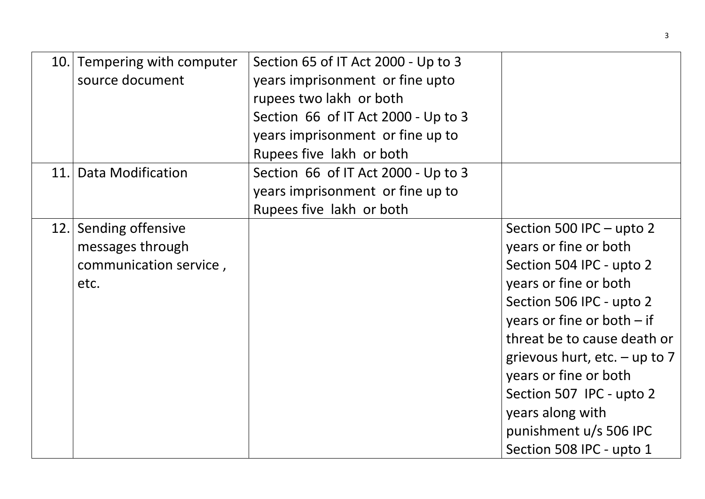|      | 10. Tempering with computer<br>source document                          | Section 65 of IT Act 2000 - Up to 3<br>years imprisonment or fine upto<br>rupees two lakh or both<br>Section 66 of IT Act 2000 - Up to 3<br>years imprisonment or fine up to<br>Rupees five lakh or both |                                                                                                                                                                                                                                                                                                                                                                     |
|------|-------------------------------------------------------------------------|----------------------------------------------------------------------------------------------------------------------------------------------------------------------------------------------------------|---------------------------------------------------------------------------------------------------------------------------------------------------------------------------------------------------------------------------------------------------------------------------------------------------------------------------------------------------------------------|
| 11.1 | Data Modification                                                       | Section 66 of IT Act 2000 - Up to 3<br>years imprisonment or fine up to<br>Rupees five lakh or both                                                                                                      |                                                                                                                                                                                                                                                                                                                                                                     |
| 12.1 | Sending offensive<br>messages through<br>communication service,<br>etc. |                                                                                                                                                                                                          | Section 500 IPC - upto 2<br>years or fine or both<br>Section 504 IPC - upto 2<br>years or fine or both<br>Section 506 IPC - upto 2<br>years or fine or both $-$ if<br>threat be to cause death or<br>grievous hurt, etc. $-$ up to 7<br>years or fine or both<br>Section 507 IPC - upto 2<br>years along with<br>punishment u/s 506 IPC<br>Section 508 IPC - upto 1 |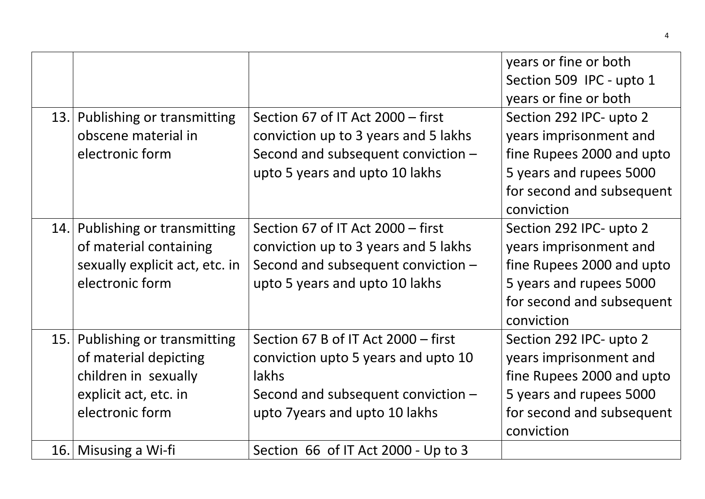|      |                                                                                                                             |                                                                                                                                                            | years or fine or both<br>Section 509 IPC - upto 1<br>years or fine or both                                                                           |
|------|-----------------------------------------------------------------------------------------------------------------------------|------------------------------------------------------------------------------------------------------------------------------------------------------------|------------------------------------------------------------------------------------------------------------------------------------------------------|
| 13.1 | Publishing or transmitting<br>obscene material in<br>electronic form                                                        | Section 67 of IT Act 2000 - first<br>conviction up to 3 years and 5 lakhs<br>Second and subsequent conviction -<br>upto 5 years and upto 10 lakhs          | Section 292 IPC- upto 2<br>years imprisonment and<br>fine Rupees 2000 and upto<br>5 years and rupees 5000<br>for second and subsequent<br>conviction |
|      | 14. Publishing or transmitting<br>of material containing<br>sexually explicit act, etc. in<br>electronic form               | Section 67 of IT Act 2000 – first<br>conviction up to 3 years and 5 lakhs<br>Second and subsequent conviction -<br>upto 5 years and upto 10 lakhs          | Section 292 IPC- upto 2<br>years imprisonment and<br>fine Rupees 2000 and upto<br>5 years and rupees 5000<br>for second and subsequent<br>conviction |
|      | 15. Publishing or transmitting<br>of material depicting<br>children in sexually<br>explicit act, etc. in<br>electronic form | Section 67 B of IT Act 2000 - first<br>conviction upto 5 years and upto 10<br>lakhs<br>Second and subsequent conviction -<br>upto 7years and upto 10 lakhs | Section 292 IPC- upto 2<br>years imprisonment and<br>fine Rupees 2000 and upto<br>5 years and rupees 5000<br>for second and subsequent<br>conviction |
| 16.  | Misusing a Wi-fi                                                                                                            | Section 66 of IT Act 2000 - Up to 3                                                                                                                        |                                                                                                                                                      |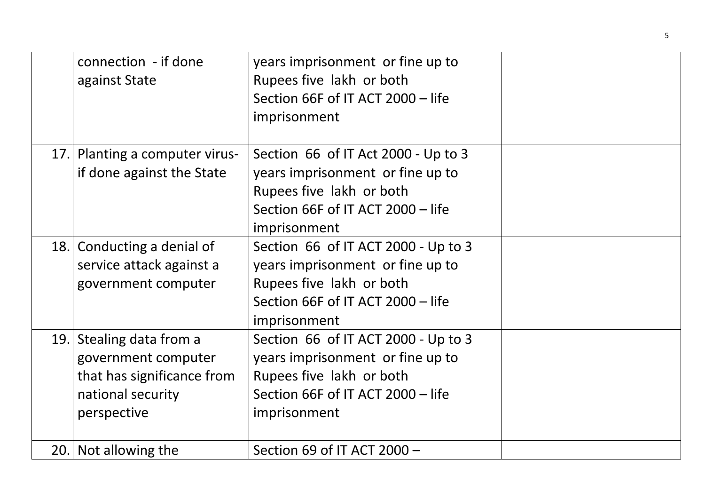|      | connection - if done<br>against State                                                                         | years imprisonment or fine up to<br>Rupees five lakh or both<br>Section 66F of IT ACT 2000 - life<br>imprisonment                                        |  |
|------|---------------------------------------------------------------------------------------------------------------|----------------------------------------------------------------------------------------------------------------------------------------------------------|--|
| 17.1 | Planting a computer virus-<br>if done against the State                                                       | Section 66 of IT Act 2000 - Up to 3<br>years imprisonment or fine up to<br>Rupees five lakh or both<br>Section 66F of IT ACT 2000 - life<br>imprisonment |  |
| 18.  | Conducting a denial of<br>service attack against a<br>government computer                                     | Section 66 of IT ACT 2000 - Up to 3<br>years imprisonment or fine up to<br>Rupees five lakh or both<br>Section 66F of IT ACT 2000 - life<br>imprisonment |  |
| 19.  | Stealing data from a<br>government computer<br>that has significance from<br>national security<br>perspective | Section 66 of IT ACT 2000 - Up to 3<br>years imprisonment or fine up to<br>Rupees five lakh or both<br>Section 66F of IT ACT 2000 - life<br>imprisonment |  |
|      | 20. Not allowing the                                                                                          | Section 69 of IT ACT 2000 -                                                                                                                              |  |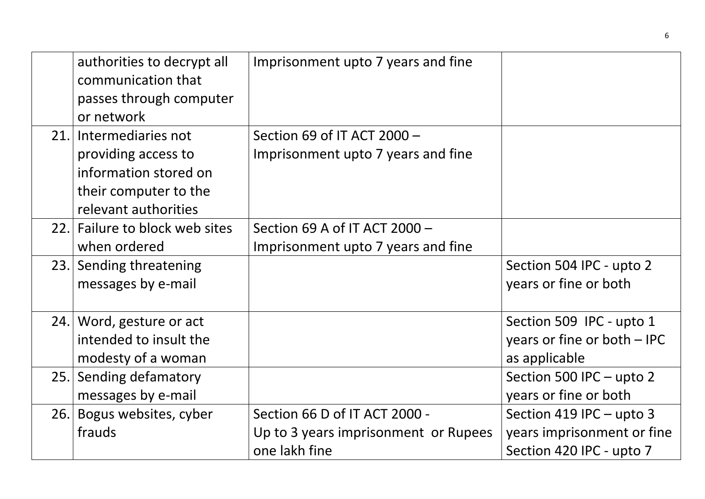|     | authorities to decrypt all<br>communication that<br>passes through computer<br>or network                               | Imprisonment upto 7 years and fine                                                     |                                                                                      |
|-----|-------------------------------------------------------------------------------------------------------------------------|----------------------------------------------------------------------------------------|--------------------------------------------------------------------------------------|
|     | 21. Intermediaries not<br>providing access to<br>information stored on<br>their computer to the<br>relevant authorities | Section 69 of IT ACT 2000 -<br>Imprisonment upto 7 years and fine                      |                                                                                      |
|     | 22. Failure to block web sites<br>when ordered                                                                          | Section 69 A of IT ACT 2000 -<br>Imprisonment upto 7 years and fine                    |                                                                                      |
|     | 23. Sending threatening<br>messages by e-mail                                                                           |                                                                                        | Section 504 IPC - upto 2<br>years or fine or both                                    |
|     | 24. Word, gesture or act<br>intended to insult the<br>modesty of a woman                                                |                                                                                        | Section 509 IPC - upto 1<br>years or fine or both $-$ IPC<br>as applicable           |
|     | 25. Sending defamatory<br>messages by e-mail                                                                            |                                                                                        | Section 500 IPC - upto 2<br>years or fine or both                                    |
| 26. | Bogus websites, cyber<br>frauds                                                                                         | Section 66 D of IT ACT 2000 -<br>Up to 3 years imprisonment or Rupees<br>one lakh fine | Section 419 IPC $-$ upto 3<br>years imprisonment or fine<br>Section 420 IPC - upto 7 |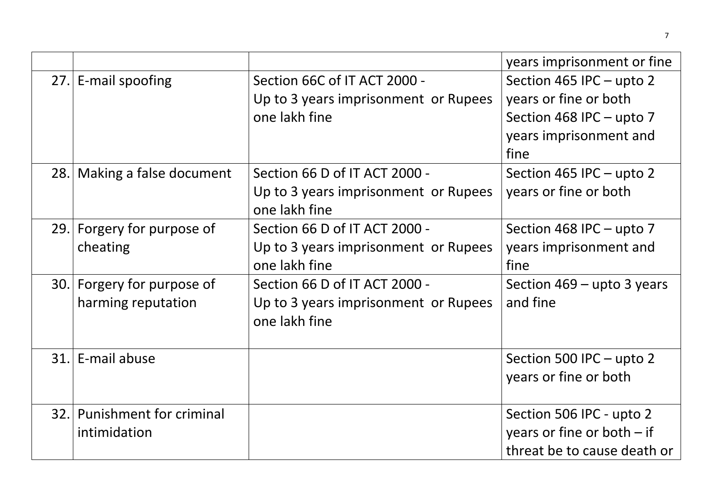|      |                                |                                                       | years imprisonment or fine   |
|------|--------------------------------|-------------------------------------------------------|------------------------------|
|      | 27. E-mail spoofing            | Section 66C of IT ACT 2000 -                          | Section 465 IPC - upto 2     |
|      |                                | Up to 3 years imprisonment or Rupees                  | years or fine or both        |
|      |                                | one lakh fine                                         | Section 468 IPC - upto 7     |
|      |                                |                                                       | years imprisonment and       |
|      |                                |                                                       | fine                         |
|      | 28. Making a false document    | Section 66 D of IT ACT 2000 -                         | Section 465 IPC – upto 2     |
|      |                                | Up to 3 years imprisonment or Rupees<br>one lakh fine | years or fine or both        |
|      | 29. Forgery for purpose of     | Section 66 D of IT ACT 2000 -                         | Section 468 IPC - upto 7     |
|      | cheating                       | Up to 3 years imprisonment or Rupees                  | years imprisonment and       |
|      |                                | one lakh fine                                         | fine                         |
|      | 30. Forgery for purpose of     | Section 66 D of IT ACT 2000 -                         | Section $469 -$ upto 3 years |
|      | harming reputation             | Up to 3 years imprisonment or Rupees                  | and fine                     |
|      |                                | one lakh fine                                         |                              |
|      |                                |                                                       |                              |
|      | 31. E-mail abuse               |                                                       | Section 500 IPC - upto 2     |
|      |                                |                                                       | years or fine or both        |
|      |                                |                                                       |                              |
| 32.1 | <b>Punishment for criminal</b> |                                                       | Section 506 IPC - upto 2     |
|      | intimidation                   |                                                       | years or fine or both $-$ if |
|      |                                |                                                       | threat be to cause death or  |